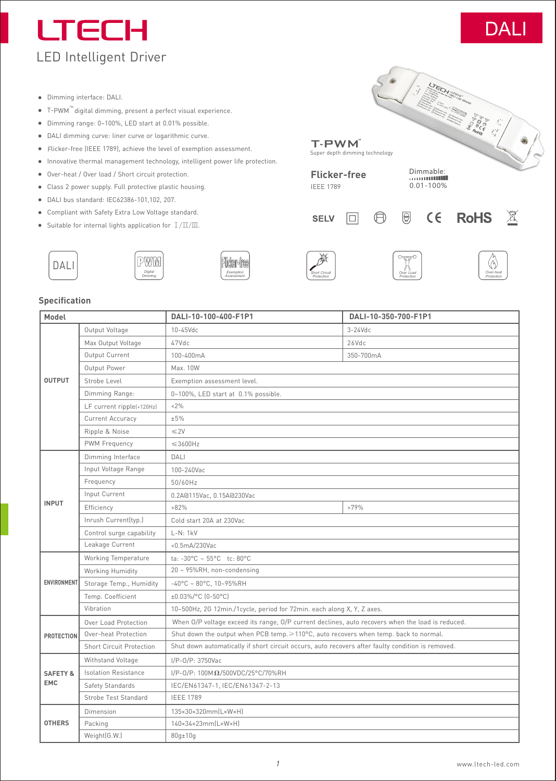# **LTECH** LED Intelligent Driver



*Over***-***heat Protection*  $\cancel{1}$ 

- Dimming interface: DALI.
- T-PWM" digital dimming, present a perfect visual experience.
- Dimming range: 0~100%, LED start at 0.01% possible.
- DALI dimming curve: liner curve or logarithmic curve.
- Flicker-free (IEEE 1789), achieve the level of exemption assessment.
- Innovative thermal management technology, intelligent power life protection.
- Over-heat / Over load / Short circuit protection.
- Class 2 power supply. Full protective plastic housing.
- DALI bus standard: IEC62386-101,102, 207.
- Compliant with Safety Extra Low Voltage standard.
- Suitable for internal lights application for  $\perp/\!\!\!\perp\!\!/\!\!\!\perp\!\!\!\perp$









**Flicker-free** IEEE 1789

**SELV** 

T-PWM

Super depth dimming technology

 $\Box$ 

*Over Load Protection*

 $\textcircled{\scriptsize\ensuremath{\theta}}$ 

 $\bigoplus$ 

0.01-100%

 $C \in$ 

**LICH STREET** 

r San Hillstoner<br>Communication of the Communication of the Communication of the Communication of the Communication of the Communication of the Communication of the Communication of the Communication of the Communication of

**RoHS** 

## **Specification**

| Model                             |                                 | DALI-10-100-400-F1P1                                                                              | DALI-10-350-700-F1P1 |  |  |  |  |  |
|-----------------------------------|---------------------------------|---------------------------------------------------------------------------------------------------|----------------------|--|--|--|--|--|
|                                   | Output Voltage                  | 10-45Vdc                                                                                          | $3-24$ Vdc           |  |  |  |  |  |
|                                   | Max Output Voltage              | 47Vdc                                                                                             | 26Vdc                |  |  |  |  |  |
|                                   | Output Current                  | 100-400mA                                                                                         | 350-700mA            |  |  |  |  |  |
| <b>OUTPUT</b>                     | Output Power                    | Max. 10W                                                                                          |                      |  |  |  |  |  |
|                                   | Strobe Level                    | Exemption assessment level.                                                                       |                      |  |  |  |  |  |
|                                   | Dimming Range:                  | 0~100%, LED start at 0.1% possible.                                                               |                      |  |  |  |  |  |
|                                   | LF current ripple(<120Hz)       | $< 2\%$                                                                                           |                      |  |  |  |  |  |
|                                   | Current Accuracy                | ±5%                                                                                               |                      |  |  |  |  |  |
|                                   | Ripple & Noise                  | $\leq$ 2V                                                                                         |                      |  |  |  |  |  |
|                                   | PWM Frequency                   | $\leq 3600$ Hz                                                                                    |                      |  |  |  |  |  |
|                                   | Dimming Interface               | DALI                                                                                              |                      |  |  |  |  |  |
|                                   | Input Voltage Range             | 100-240Vac                                                                                        |                      |  |  |  |  |  |
|                                   | Frequency                       | 50/60Hz                                                                                           |                      |  |  |  |  |  |
|                                   | Input Current                   | 0.2A@115Vac, 0.15A@230Vac                                                                         |                      |  |  |  |  |  |
| <b>INPUT</b>                      | Efficiency                      | $>82\%$                                                                                           | $>79\%$              |  |  |  |  |  |
|                                   | Inrush Current(typ.)            | Cold start 20A at 230Vac                                                                          |                      |  |  |  |  |  |
|                                   | Control surge capability        | $L-N: 1kV$                                                                                        |                      |  |  |  |  |  |
|                                   | Leakage Current                 | <0.5mA/230Vac                                                                                     |                      |  |  |  |  |  |
|                                   | Working Temperature             | ta: $-30^{\circ}$ C ~ 55°C tc: 80°C                                                               |                      |  |  |  |  |  |
|                                   | Working Humidity                | 20 ~ 95%RH, non-condensing                                                                        |                      |  |  |  |  |  |
| ENVIRONMENT                       | Storage Temp., Humidity         | $-40^{\circ}$ C ~ 80°C, 10~95%RH                                                                  |                      |  |  |  |  |  |
|                                   | Temp. Coefficient               | ±0.03%/°C (0-50°C)                                                                                |                      |  |  |  |  |  |
|                                   | Vibration                       | 10~500Hz, 2G 12min./1cycle, period for 72min. each along X, Y, Z axes.                            |                      |  |  |  |  |  |
|                                   | Over Load Protection            | When O/P voltage exceed its range, O/P current declines, auto recovers when the load is reduced.  |                      |  |  |  |  |  |
| <b>PROTECTION</b>                 | Over-heat Protection            | Shut down the output when PCB temp. ≥110°C, auto recovers when temp. back to normal.              |                      |  |  |  |  |  |
|                                   | <b>Short Circuit Protection</b> | Shut down automatically if short circuit occurs, auto recovers after faulty condition is removed. |                      |  |  |  |  |  |
|                                   | Withstand Voltage               | I/P-0/P: 3750Vac                                                                                  |                      |  |  |  |  |  |
| <b>SAFETY &amp;</b><br><b>EMC</b> | <b>Isolation Resistance</b>     | I/P-0/P: 100ΜΩ/500VDC/25°C/70%RH                                                                  |                      |  |  |  |  |  |
|                                   | Safety Standards                | IEC/EN61347-1, IEC/EN61347-2-13                                                                   |                      |  |  |  |  |  |
|                                   | Strobe Test Standard            | <b>IEEE 1789</b>                                                                                  |                      |  |  |  |  |  |
|                                   | Dimension                       | 135×30×320mm(L×W×H)                                                                               |                      |  |  |  |  |  |
| <b>OTHERS</b>                     | Packing                         | 140×34×23mm(L×W×H)                                                                                |                      |  |  |  |  |  |
|                                   | Weight(G.W.)                    | $80q \pm 10q$                                                                                     |                      |  |  |  |  |  |